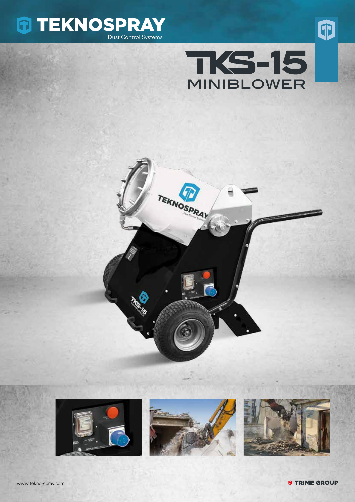